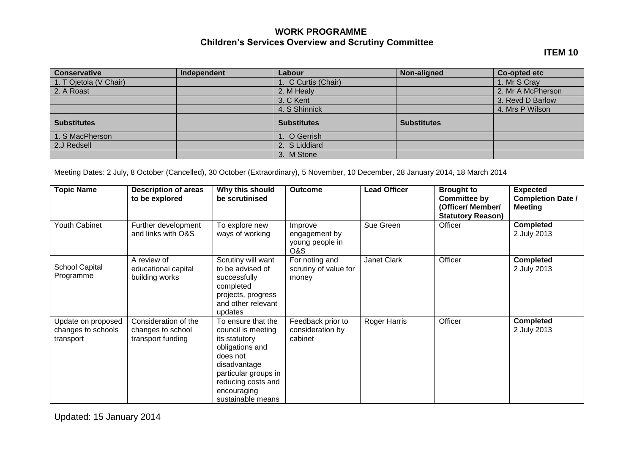#### **ITEM 10**

| <b>Conservative</b>    | Independent | Labour              | Non-aligned        | <b>Co-opted etc</b> |
|------------------------|-------------|---------------------|--------------------|---------------------|
| 1. T Ojetola (V Chair) |             | 1. C Curtis (Chair) |                    | 1. Mr S Cray        |
| 2. A Roast             |             | 2. M Healy          |                    | 2. Mr A McPherson   |
|                        |             | 3. C Kent           |                    | 3. Revd D Barlow    |
|                        |             | 4. S Shinnick       |                    | 4. Mrs P Wilson     |
| <b>Substitutes</b>     |             | <b>Substitutes</b>  | <b>Substitutes</b> |                     |
| 1. S MacPherson        |             | I. O Gerrish        |                    |                     |
| 2.J Redsell            |             | 2. S Liddiard       |                    |                     |
|                        |             | 3. M Stone          |                    |                     |

Meeting Dates: 2 July, 8 October (Cancelled), 30 October (Extraordinary), 5 November, 10 December, 28 January 2014, 18 March 2014

| <b>Topic Name</b>                                     | <b>Description of areas</b><br>to be explored                  | Why this should<br>be scrutinised                                                                                                                                                          | <b>Outcome</b>                                     | <b>Lead Officer</b> | <b>Brought to</b><br><b>Committee by</b><br>(Officer/ Member/<br><b>Statutory Reason)</b> | <b>Expected</b><br><b>Completion Date /</b><br><b>Meeting</b> |
|-------------------------------------------------------|----------------------------------------------------------------|--------------------------------------------------------------------------------------------------------------------------------------------------------------------------------------------|----------------------------------------------------|---------------------|-------------------------------------------------------------------------------------------|---------------------------------------------------------------|
| <b>Youth Cabinet</b>                                  | Further development<br>and links with O&S                      | To explore new<br>ways of working                                                                                                                                                          | Improve<br>engagement by<br>young people in<br>O&S | Sue Green           | Officer                                                                                   | <b>Completed</b><br>2 July 2013                               |
| School Capital<br>Programme                           | A review of<br>educational capital<br>building works           | Scrutiny will want<br>to be advised of<br>successfully<br>completed<br>projects, progress<br>and other relevant<br>updates                                                                 | For noting and<br>scrutiny of value for<br>money   | Janet Clark         | Officer                                                                                   | <b>Completed</b><br>2 July 2013                               |
| Update on proposed<br>changes to schools<br>transport | Consideration of the<br>changes to school<br>transport funding | To ensure that the<br>council is meeting<br>its statutory<br>obligations and<br>does not<br>disadvantage<br>particular groups in<br>reducing costs and<br>encouraging<br>sustainable means | Feedback prior to<br>consideration by<br>cabinet   | Roger Harris        | Officer                                                                                   | <b>Completed</b><br>2 July 2013                               |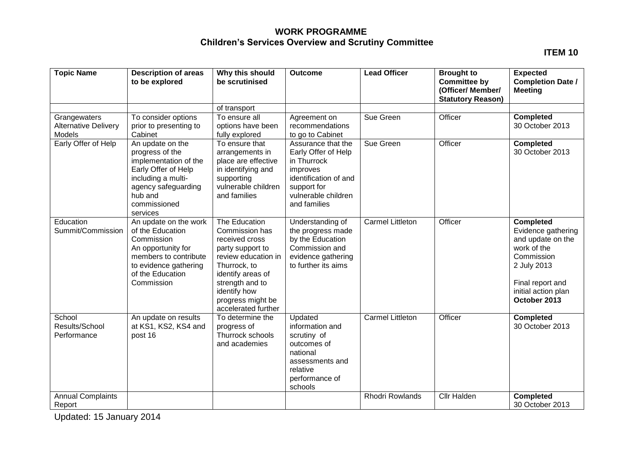**ITEM 10**

| <b>Topic Name</b>                                     | <b>Description of areas</b><br>to be explored                                                                                                                           | Why this should<br>be scrutinised                                                                                                                                                                                | <b>Outcome</b>                                                                                                                                      | <b>Lead Officer</b>     | <b>Brought to</b><br><b>Committee by</b><br>(Officer/ Member/<br><b>Statutory Reason)</b> | <b>Expected</b><br><b>Completion Date /</b><br><b>Meeting</b>                                                                                                      |
|-------------------------------------------------------|-------------------------------------------------------------------------------------------------------------------------------------------------------------------------|------------------------------------------------------------------------------------------------------------------------------------------------------------------------------------------------------------------|-----------------------------------------------------------------------------------------------------------------------------------------------------|-------------------------|-------------------------------------------------------------------------------------------|--------------------------------------------------------------------------------------------------------------------------------------------------------------------|
|                                                       |                                                                                                                                                                         | of transport                                                                                                                                                                                                     |                                                                                                                                                     |                         |                                                                                           |                                                                                                                                                                    |
| Grangewaters<br><b>Alternative Delivery</b><br>Models | To consider options<br>prior to presenting to<br>Cabinet                                                                                                                | To ensure all<br>options have been<br>fully explored                                                                                                                                                             | Agreement on<br>recommendations<br>to go to Cabinet                                                                                                 | Sue Green               | Officer                                                                                   | <b>Completed</b><br>30 October 2013                                                                                                                                |
| Early Offer of Help                                   | An update on the<br>progress of the<br>implementation of the<br>Early Offer of Help<br>including a multi-<br>agency safeguarding<br>hub and<br>commissioned<br>services | To ensure that<br>arrangements in<br>place are effective<br>in identifying and<br>supporting<br>vulnerable children<br>and families                                                                              | Assurance that the<br>Early Offer of Help<br>in Thurrock<br>improves<br>identification of and<br>support for<br>vulnerable children<br>and families | Sue Green               | Officer                                                                                   | <b>Completed</b><br>30 October 2013                                                                                                                                |
| Education<br>Summit/Commission                        | An update on the work<br>of the Education<br>Commission<br>An opportunity for<br>members to contribute<br>to evidence gathering<br>of the Education<br>Commission       | The Education<br>Commission has<br>received cross<br>party support to<br>review education in<br>Thurrock, to<br>identify areas of<br>strength and to<br>identify how<br>progress might be<br>accelerated further | Understanding of<br>the progress made<br>by the Education<br>Commission and<br>evidence gathering<br>to further its aims                            | <b>Carmel Littleton</b> | Officer                                                                                   | <b>Completed</b><br>Evidence gathering<br>and update on the<br>work of the<br>Commission<br>2 July 2013<br>Final report and<br>initial action plan<br>October 2013 |
| School<br>Results/School<br>Performance               | An update on results<br>at KS1, KS2, KS4 and<br>post 16                                                                                                                 | To determine the<br>progress of<br>Thurrock schools<br>and academies                                                                                                                                             | Updated<br>information and<br>scrutiny of<br>outcomes of<br>national<br>assessments and<br>relative<br>performance of<br>schools                    | <b>Carmel Littleton</b> | Officer                                                                                   | <b>Completed</b><br>30 October 2013                                                                                                                                |
| <b>Annual Complaints</b><br>Report                    |                                                                                                                                                                         |                                                                                                                                                                                                                  |                                                                                                                                                     | <b>Rhodri Rowlands</b>  | <b>Cllr Halden</b>                                                                        | <b>Completed</b><br>30 October 2013                                                                                                                                |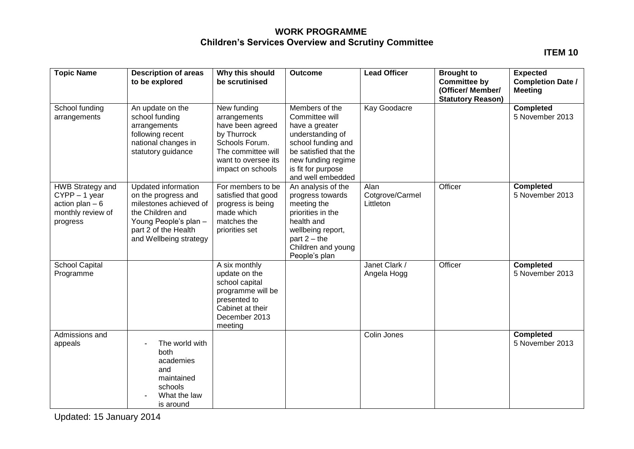**ITEM 10**

| <b>Topic Name</b>                                                                    | <b>Description of areas</b><br>to be explored                                                                                                                              | Why this should<br>be scrutinised                                                                                                                  | <b>Outcome</b>                                                                                                                                                                         | <b>Lead Officer</b>                  | <b>Brought to</b><br><b>Committee by</b><br>(Officer/ Member/<br><b>Statutory Reason)</b> | <b>Expected</b><br><b>Completion Date /</b><br><b>Meeting</b> |
|--------------------------------------------------------------------------------------|----------------------------------------------------------------------------------------------------------------------------------------------------------------------------|----------------------------------------------------------------------------------------------------------------------------------------------------|----------------------------------------------------------------------------------------------------------------------------------------------------------------------------------------|--------------------------------------|-------------------------------------------------------------------------------------------|---------------------------------------------------------------|
| School funding<br>arrangements                                                       | An update on the<br>school funding<br>arrangements<br>following recent<br>national changes in<br>statutory guidance                                                        | New funding<br>arrangements<br>have been agreed<br>by Thurrock<br>Schools Forum.<br>The committee will<br>want to oversee its<br>impact on schools | Members of the<br>Committee will<br>have a greater<br>understanding of<br>school funding and<br>be satisfied that the<br>new funding regime<br>is fit for purpose<br>and well embedded | <b>Kay Goodacre</b>                  |                                                                                           | Completed<br>5 November 2013                                  |
| HWB Strategy and<br>CYPP-1 year<br>action plan $-6$<br>monthly review of<br>progress | <b>Updated information</b><br>on the progress and<br>milestones achieved of<br>the Children and<br>Young People's plan -<br>part 2 of the Health<br>and Wellbeing strategy | For members to be<br>satisfied that good<br>progress is being<br>made which<br>matches the<br>priorities set                                       | An analysis of the<br>progress towards<br>meeting the<br>priorities in the<br>health and<br>wellbeing report,<br>part $2 -$ the<br>Children and young<br>People's plan                 | Alan<br>Cotgrove/Carmel<br>Littleton | Officer                                                                                   | <b>Completed</b><br>5 November 2013                           |
| <b>School Capital</b><br>Programme                                                   |                                                                                                                                                                            | A six monthly<br>update on the<br>school capital<br>programme will be<br>presented to<br>Cabinet at their<br>December 2013<br>meeting              |                                                                                                                                                                                        | Janet Clark /<br>Angela Hogg         | Officer                                                                                   | <b>Completed</b><br>5 November 2013                           |
| Admissions and<br>appeals                                                            | The world with<br>both<br>academies<br>and<br>maintained<br>schools<br>What the law<br>is around                                                                           |                                                                                                                                                    |                                                                                                                                                                                        | Colin Jones                          |                                                                                           | <b>Completed</b><br>5 November 2013                           |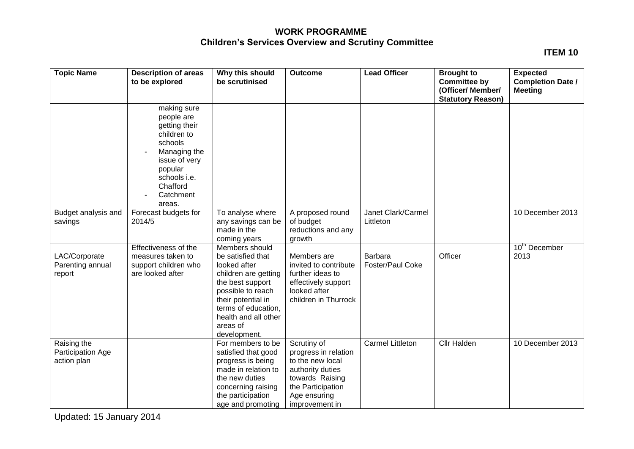**ITEM 10**

| <b>Topic Name</b>                               | <b>Description of areas</b><br>to be explored                                                                                                             | Why this should<br>be scrutinised                                                                                                                                                                                     | <b>Outcome</b>                                                                                                                                        | <b>Lead Officer</b>             | <b>Brought to</b><br><b>Committee by</b><br>(Officer/ Member/<br><b>Statutory Reason)</b> | <b>Expected</b><br><b>Completion Date /</b><br><b>Meeting</b> |
|-------------------------------------------------|-----------------------------------------------------------------------------------------------------------------------------------------------------------|-----------------------------------------------------------------------------------------------------------------------------------------------------------------------------------------------------------------------|-------------------------------------------------------------------------------------------------------------------------------------------------------|---------------------------------|-------------------------------------------------------------------------------------------|---------------------------------------------------------------|
|                                                 | making sure<br>people are<br>getting their<br>children to<br>schools<br>Managing the<br>issue of very<br>popular<br>schools i.e.<br>Chafford<br>Catchment |                                                                                                                                                                                                                       |                                                                                                                                                       |                                 |                                                                                           |                                                               |
| Budget analysis and<br>savings                  | areas.<br>Forecast budgets for<br>2014/5                                                                                                                  | To analyse where<br>any savings can be<br>made in the<br>coming years                                                                                                                                                 | A proposed round<br>of budget<br>reductions and any<br>growth                                                                                         | Janet Clark/Carmel<br>Littleton |                                                                                           | 10 December 2013                                              |
| LAC/Corporate<br>Parenting annual<br>report     | Effectiveness of the<br>measures taken to<br>support children who<br>are looked after                                                                     | Members should<br>be satisfied that<br>looked after<br>children are getting<br>the best support<br>possible to reach<br>their potential in<br>terms of education,<br>health and all other<br>areas of<br>development. | Members are<br>invited to contribute<br>further ideas to<br>effectively support<br>looked after<br>children in Thurrock                               | Barbara<br>Foster/Paul Coke     | Officer                                                                                   | $10th$ December<br>2013                                       |
| Raising the<br>Participation Age<br>action plan |                                                                                                                                                           | For members to be<br>satisfied that good<br>progress is being<br>made in relation to<br>the new duties<br>concerning raising<br>the participation<br>age and promoting                                                | Scrutiny of<br>progress in relation<br>to the new local<br>authority duties<br>towards Raising<br>the Participation<br>Age ensuring<br>improvement in | <b>Carmel Littleton</b>         | <b>Cllr Halden</b>                                                                        | 10 December 2013                                              |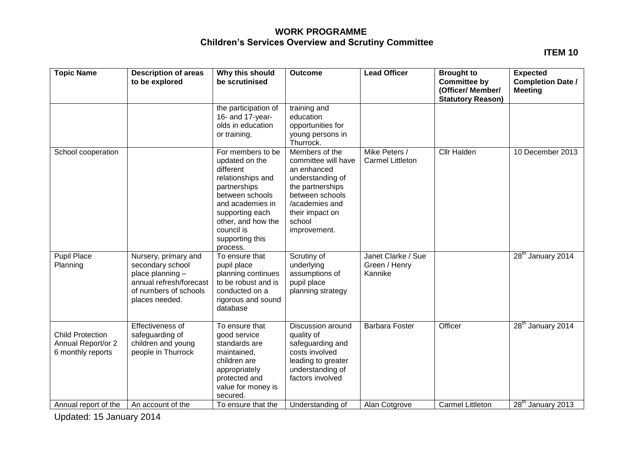**ITEM 10**

| the participation of<br>training and<br>16- and 17-year-<br>education<br>olds in education<br>opportunities for<br>young persons in<br>or training.<br>Thurrock.<br>Members of the<br>For members to be<br>School cooperation<br>committee will have<br>updated on the<br>different<br>an enhanced<br>relationships and<br>understanding of<br>the partnerships<br>partnerships<br>between schools<br>between schools<br>and academies in<br>/academies and<br>supporting each<br>their impact on<br>other, and how the<br>school<br>council is<br>improvement.<br>supporting this<br>process.<br><b>Pupil Place</b><br>To ensure that<br>Nursery, primary and<br>Scrutiny of<br>secondary school<br>underlying<br>Planning<br>pupil place | <b>Lead Officer</b>                            | <b>Brought to</b><br><b>Committee by</b><br>(Officer/ Member/<br><b>Statutory Reason)</b> | <b>Expected</b><br><b>Completion Date /</b><br><b>Meeting</b> |
|--------------------------------------------------------------------------------------------------------------------------------------------------------------------------------------------------------------------------------------------------------------------------------------------------------------------------------------------------------------------------------------------------------------------------------------------------------------------------------------------------------------------------------------------------------------------------------------------------------------------------------------------------------------------------------------------------------------------------------------------|------------------------------------------------|-------------------------------------------------------------------------------------------|---------------------------------------------------------------|
|                                                                                                                                                                                                                                                                                                                                                                                                                                                                                                                                                                                                                                                                                                                                            |                                                |                                                                                           |                                                               |
|                                                                                                                                                                                                                                                                                                                                                                                                                                                                                                                                                                                                                                                                                                                                            | Mike Peters /<br><b>Carmel Littleton</b>       | Cllr Halden                                                                               | 10 December 2013                                              |
| place planning -<br>planning continues<br>assumptions of<br>annual refresh/forecast<br>to be robust and is<br>pupil place<br>of numbers of schools<br>conducted on a<br>planning strategy<br>rigorous and sound<br>places needed.<br>database                                                                                                                                                                                                                                                                                                                                                                                                                                                                                              | Janet Clarke / Sue<br>Green / Henry<br>Kannike |                                                                                           | 28 <sup>th</sup> January 2014                                 |
| Effectiveness of<br>To ensure that<br>Discussion around<br><b>Child Protection</b><br>safeguarding of<br>good service<br>quality of<br>Annual Report/or 2<br>children and young<br>standards are<br>safeguarding and<br>costs involved<br>6 monthly reports<br>people in Thurrock<br>maintained,<br>children are<br>leading to greater<br>understanding of<br>appropriately<br>protected and<br>factors involved<br>value for money is<br>secured.<br>Annual report of the<br>An account of the<br>To ensure that the<br>Understanding of                                                                                                                                                                                                  | <b>Barbara Foster</b><br>Alan Cotgrove         | Officer<br><b>Carmel Littleton</b>                                                        | 28 <sup>th</sup> January 2014<br>$28th$ January 2013          |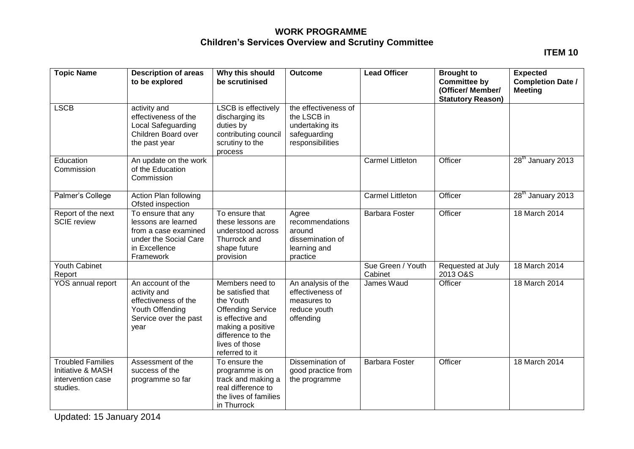**ITEM 10**

| <b>Topic Name</b>                                                              | <b>Description of areas</b><br>to be explored                                                                            | Why this should<br>be scrutinised                                                                                                                                               | <b>Outcome</b>                                                                             | <b>Lead Officer</b>          | <b>Brought to</b><br><b>Committee by</b><br>(Officer/ Member/<br><b>Statutory Reason)</b> | <b>Expected</b><br><b>Completion Date /</b><br><b>Meeting</b> |
|--------------------------------------------------------------------------------|--------------------------------------------------------------------------------------------------------------------------|---------------------------------------------------------------------------------------------------------------------------------------------------------------------------------|--------------------------------------------------------------------------------------------|------------------------------|-------------------------------------------------------------------------------------------|---------------------------------------------------------------|
| <b>LSCB</b>                                                                    | activity and<br>effectiveness of the<br>Local Safeguarding<br>Children Board over<br>the past year                       | <b>LSCB</b> is effectively<br>discharging its<br>duties by<br>contributing council<br>scrutiny to the<br>process                                                                | the effectiveness of<br>the LSCB in<br>undertaking its<br>safeguarding<br>responsibilities |                              |                                                                                           |                                                               |
| Education<br>Commission                                                        | An update on the work<br>of the Education<br>Commission                                                                  |                                                                                                                                                                                 |                                                                                            | <b>Carmel Littleton</b>      | Officer                                                                                   | 28 <sup>th</sup> January 2013                                 |
| Palmer's College                                                               | <b>Action Plan following</b><br>Ofsted inspection                                                                        |                                                                                                                                                                                 |                                                                                            | <b>Carmel Littleton</b>      | Officer                                                                                   | 28 <sup>th</sup> January 2013                                 |
| Report of the next<br><b>SCIE</b> review                                       | To ensure that any<br>lessons are learned<br>from a case examined<br>under the Social Care<br>in Excellence<br>Framework | To ensure that<br>these lessons are<br>understood across<br>Thurrock and<br>shape future<br>provision                                                                           | Agree<br>recommendations<br>around<br>dissemination of<br>learning and<br>practice         | <b>Barbara Foster</b>        | Officer                                                                                   | 18 March 2014                                                 |
| Youth Cabinet<br>Report                                                        |                                                                                                                          |                                                                                                                                                                                 |                                                                                            | Sue Green / Youth<br>Cabinet | Requested at July<br>2013 O&S                                                             | 18 March 2014                                                 |
| <b>YOS</b> annual report                                                       | An account of the<br>activity and<br>effectiveness of the<br>Youth Offending<br>Service over the past<br>year            | Members need to<br>be satisfied that<br>the Youth<br><b>Offending Service</b><br>is effective and<br>making a positive<br>difference to the<br>lives of those<br>referred to it | An analysis of the<br>effectiveness of<br>measures to<br>reduce youth<br>offending         | James Waud                   | Officer                                                                                   | 18 March 2014                                                 |
| <b>Troubled Families</b><br>Initiative & MASH<br>intervention case<br>studies. | Assessment of the<br>success of the<br>programme so far                                                                  | To ensure the<br>programme is on<br>track and making a<br>real difference to<br>the lives of families<br>in Thurrock                                                            | Dissemination of<br>good practice from<br>the programme                                    | <b>Barbara Foster</b>        | Officer                                                                                   | 18 March 2014                                                 |